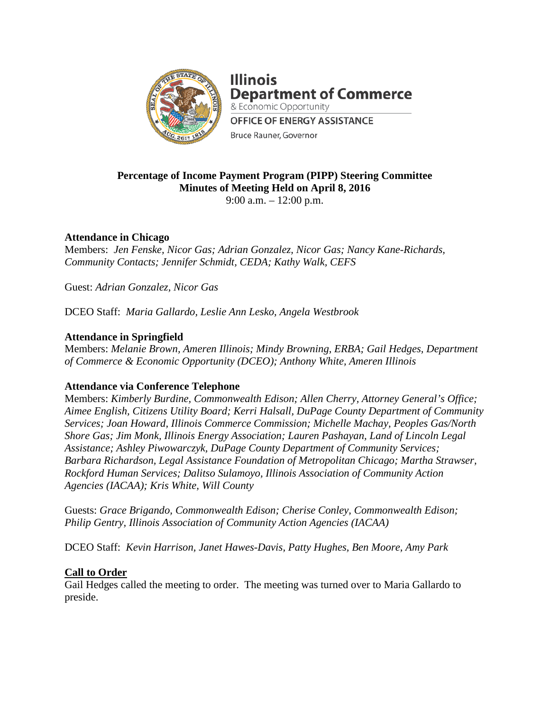

**Illinois Department of Commerce** & Economic Opportunity **OFFICE OF ENERGY ASSISTANCE Bruce Rauner, Governor** 

# **Percentage of Income Payment Program (PIPP) Steering Committee Minutes of Meeting Held on April 8, 2016**

9:00 a.m. – 12:00 p.m.

# **Attendance in Chicago**

Members: *Jen Fenske, Nicor Gas; Adrian Gonzalez, Nicor Gas; Nancy Kane-Richards, Community Contacts; Jennifer Schmidt, CEDA; Kathy Walk, CEFS*

Guest: *Adrian Gonzalez, Nicor Gas*

DCEO Staff: *Maria Gallardo, Leslie Ann Lesko, Angela Westbrook*

# **Attendance in Springfield**

Members: *Melanie Brown, Ameren Illinois; Mindy Browning, ERBA; Gail Hedges, Department of Commerce & Economic Opportunity (DCEO); Anthony White, Ameren Illinois*

## **Attendance via Conference Telephone**

Members: *Kimberly Burdine, Commonwealth Edison; Allen Cherry, Attorney General's Office; Aimee English, Citizens Utility Board; Kerri Halsall, DuPage County Department of Community Services; Joan Howard, Illinois Commerce Commission; Michelle Machay, Peoples Gas/North Shore Gas; Jim Monk, Illinois Energy Association; Lauren Pashayan, Land of Lincoln Legal Assistance; Ashley Piwowarczyk, DuPage County Department of Community Services; Barbara Richardson, Legal Assistance Foundation of Metropolitan Chicago; Martha Strawser, Rockford Human Services; Dalitso Sulamoyo, Illinois Association of Community Action Agencies (IACAA); Kris White, Will County*

Guests: *Grace Brigando, Commonwealth Edison; Cherise Conley, Commonwealth Edison; Philip Gentry, Illinois Association of Community Action Agencies (IACAA)*

DCEO Staff: *Kevin Harrison, Janet Hawes-Davis, Patty Hughes, Ben Moore, Amy Park*

## **Call to Order**

Gail Hedges called the meeting to order. The meeting was turned over to Maria Gallardo to preside.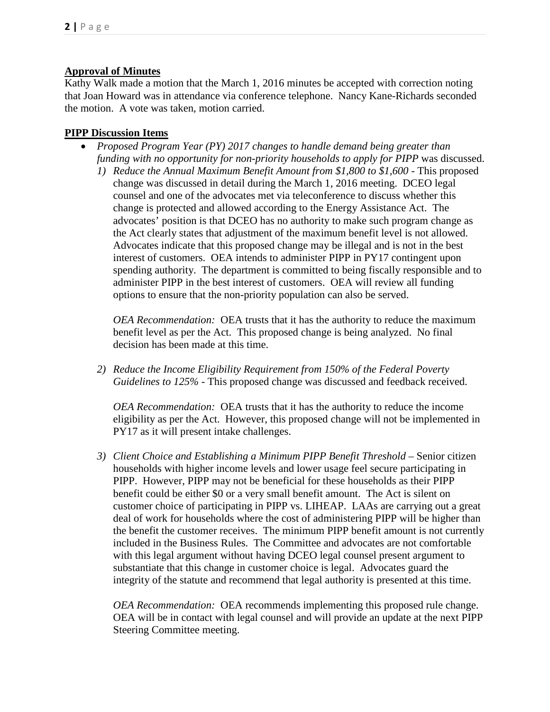## **Approval of Minutes**

Kathy Walk made a motion that the March 1, 2016 minutes be accepted with correction noting that Joan Howard was in attendance via conference telephone. Nancy Kane-Richards seconded the motion. A vote was taken, motion carried.

## **PIPP Discussion Items**

- *Proposed Program Year (PY) 2017 changes to handle demand being greater than funding with no opportunity for non-priority households to apply for PIPP* was discussed.
	- *1) Reduce the Annual Maximum Benefit Amount from \$1,800 to \$1,600 -* This proposed change was discussed in detail during the March 1, 2016 meeting. DCEO legal counsel and one of the advocates met via teleconference to discuss whether this change is protected and allowed according to the Energy Assistance Act. The advocates' position is that DCEO has no authority to make such program change as the Act clearly states that adjustment of the maximum benefit level is not allowed. Advocates indicate that this proposed change may be illegal and is not in the best interest of customers. OEA intends to administer PIPP in PY17 contingent upon spending authority. The department is committed to being fiscally responsible and to administer PIPP in the best interest of customers. OEA will review all funding options to ensure that the non-priority population can also be served.

*OEA Recommendation:* OEA trusts that it has the authority to reduce the maximum benefit level as per the Act. This proposed change is being analyzed. No final decision has been made at this time.

*2) Reduce the Income Eligibility Requirement from 150% of the Federal Poverty Guidelines to 125%* - This proposed change was discussed and feedback received.

*OEA Recommendation:* OEA trusts that it has the authority to reduce the income eligibility as per the Act. However, this proposed change will not be implemented in PY17 as it will present intake challenges.

*3) Client Choice and Establishing a Minimum PIPP Benefit Threshold –* Senior citizen households with higher income levels and lower usage feel secure participating in PIPP. However, PIPP may not be beneficial for these households as their PIPP benefit could be either \$0 or a very small benefit amount. The Act is silent on customer choice of participating in PIPP vs. LIHEAP. LAAs are carrying out a great deal of work for households where the cost of administering PIPP will be higher than the benefit the customer receives. The minimum PIPP benefit amount is not currently included in the Business Rules. The Committee and advocates are not comfortable with this legal argument without having DCEO legal counsel present argument to substantiate that this change in customer choice is legal. Advocates guard the integrity of the statute and recommend that legal authority is presented at this time.

*OEA Recommendation:* OEA recommends implementing this proposed rule change. OEA will be in contact with legal counsel and will provide an update at the next PIPP Steering Committee meeting.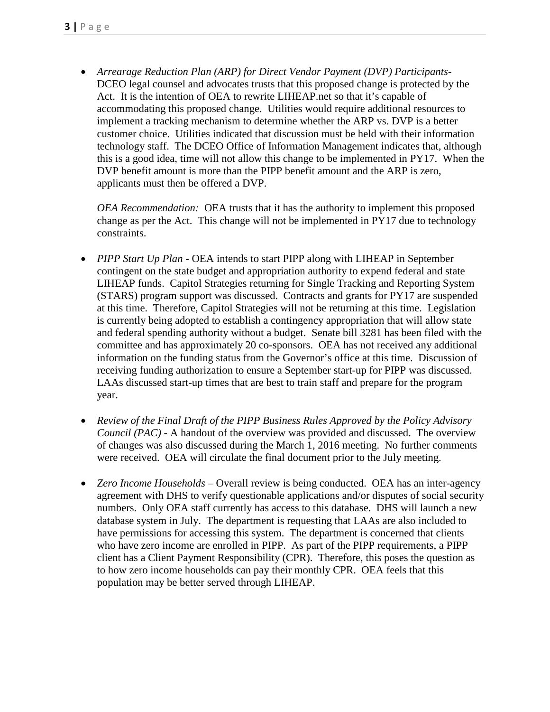• *Arrearage Reduction Plan (ARP) for Direct Vendor Payment (DVP) Participants-*DCEO legal counsel and advocates trusts that this proposed change is protected by the Act. It is the intention of OEA to rewrite LIHEAP.net so that it's capable of accommodating this proposed change. Utilities would require additional resources to implement a tracking mechanism to determine whether the ARP vs. DVP is a better customer choice. Utilities indicated that discussion must be held with their information technology staff. The DCEO Office of Information Management indicates that, although this is a good idea, time will not allow this change to be implemented in PY17. When the DVP benefit amount is more than the PIPP benefit amount and the ARP is zero, applicants must then be offered a DVP.

*OEA Recommendation:* OEA trusts that it has the authority to implement this proposed change as per the Act. This change will not be implemented in PY17 due to technology constraints.

- *PIPP Start Up Plan -* OEA intends to start PIPP along with LIHEAP in September contingent on the state budget and appropriation authority to expend federal and state LIHEAP funds. Capitol Strategies returning for Single Tracking and Reporting System (STARS) program support was discussed. Contracts and grants for PY17 are suspended at this time. Therefore, Capitol Strategies will not be returning at this time. Legislation is currently being adopted to establish a contingency appropriation that will allow state and federal spending authority without a budget. Senate bill 3281 has been filed with the committee and has approximately 20 co-sponsors. OEA has not received any additional information on the funding status from the Governor's office at this time. Discussion of receiving funding authorization to ensure a September start-up for PIPP was discussed. LAAs discussed start-up times that are best to train staff and prepare for the program year.
- *Review of the Final Draft of the PIPP Business Rules Approved by the Policy Advisory Council (PAC) -* A handout of the overview was provided and discussed. The overview of changes was also discussed during the March 1, 2016 meeting. No further comments were received. OEA will circulate the final document prior to the July meeting.
- *Zero Income Households –* Overall review is being conducted.OEA has an inter-agency agreement with DHS to verify questionable applications and/or disputes of social security numbers. Only OEA staff currently has access to this database. DHS will launch a new database system in July. The department is requesting that LAAs are also included to have permissions for accessing this system. The department is concerned that clients who have zero income are enrolled in PIPP. As part of the PIPP requirements, a PIPP client has a Client Payment Responsibility (CPR). Therefore, this poses the question as to how zero income households can pay their monthly CPR. OEA feels that this population may be better served through LIHEAP.